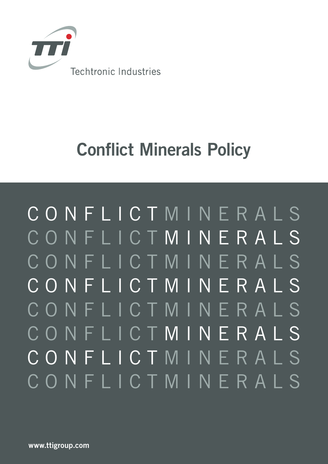

# Conflict Minerals Policy

CONFLICT MINERALS CONFLICT MINERALS CONFLICTMINERALS CONFLICTMINERALS CONFLICTMINERALS CONFLICT MINERALS CONFLICT MINERALS CONFLICTMINERALS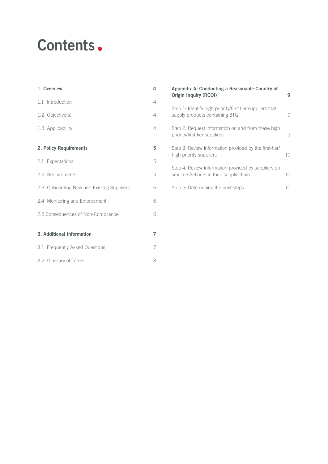# Contents •

| 1. Overview                               | 4                        |
|-------------------------------------------|--------------------------|
| 1.1 Introduction                          | 4                        |
| 1.2 Objective(s)                          | $\overline{4}$           |
| 1.3 Applicability                         | $\overline{\mathcal{L}}$ |
| 2. Policy Requirements                    | 5                        |
| 2.1 Expectations                          | 5                        |
| 2.2 Requirements                          | 5                        |
| 2.3 Onboarding New and Existing Suppliers | 6                        |
| 2.4 Monitoring and Enforcement            | 6                        |
| 2.5 Consequences of Non-Compliance        | 6                        |
|                                           |                          |
| 3. Additional Information                 | 7                        |
| 3.1 Frequently Asked Questions            | 7                        |
| 3.2 Glossary of Terms                     | 8                        |

| Appendix A: Conducting a Reasonable Country of<br><b>Origin Inquiry (RCOI)</b>                 | 9  |
|------------------------------------------------------------------------------------------------|----|
| Step 1: Identify high priority/first tier suppliers that<br>supply products containing 3TG     | q  |
| Step 2: Request information on and from these high<br>priority/first tier suppliers            | 9  |
| Step 3: Review information provided by the first-tier/<br>high priority suppliers              | 10 |
| Step 4: Review information provided by suppliers on<br>smelters/refiners in their supply chain | 10 |
| Step 5: Determining the next steps                                                             |    |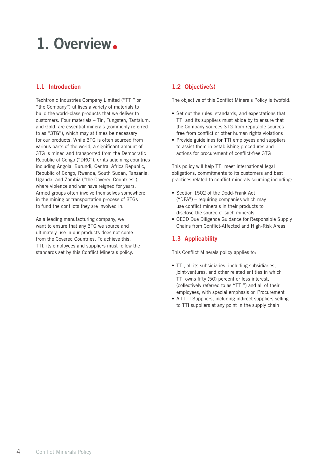# 1. Overview.

## 1.1 Introduction 1.2 Objective(s)

Techtronic Industries Company Limited ("TTI" or "the Company") utilises a variety of materials to build the world-class products that we deliver to customers. Four materials – Tin, Tungsten, Tantalum, and Gold, are essential minerals (commonly referred to as "3TG"), which may at times be necessary for our products. While 3TG is often sourced from various parts of the world, a significant amount of 3TG is mined and transported from the Democratic Republic of Congo ("DRC"), or its adjoining countries including Angola, Burundi, Central Africa Republic, Republic of Congo, Rwanda, South Sudan, Tanzania, Uganda, and Zambia ("the Covered Countries"), where violence and war have reigned for years. Armed groups often involve themselves somewhere in the mining or transportation process of 3TGs to fund the conflicts they are involved in.

As a leading manufacturing company, we want to ensure that any 3TG we source and ultimately use in our products does not come from the Covered Countries. To achieve this, TTI, its employees and suppliers must follow the standards set by this Conflict Minerals policy.

The objective of this Conflict Minerals Policy is twofold:

- Set out the rules, standards, and expectations that TTI and its suppliers must abide by to ensure that the Company sources 3TG from reputable sources free from conflict or other human rights violations
- Provide guidelines for TTI employees and suppliers to assist them in establishing procedures and actions for procurement of conflict-free 3TG

This policy will help TTI meet international legal obligations, commitments to its customers and best practices related to conflict minerals sourcing including:

- Section 1502 of the Dodd-Frank Act ("DFA") – requiring companies which may use conflict minerals in their products to disclose the source of such minerals
- OECD Due Diligence Guidance for Responsible Supply Chains from Conflict-Affected and High-Risk Areas

## 1.3 Applicability

This Conflict Minerals policy applies to:

- TTI, all its subsidiaries, including subsidiaries, joint-ventures, and other related entities in which TTI owns fifty (50) percent or less interest, (collectively referred to as "TTI") and all of their employees, with special emphasis on Procurement
- All TTI Suppliers, including indirect suppliers selling to TTI suppliers at any point in the supply chain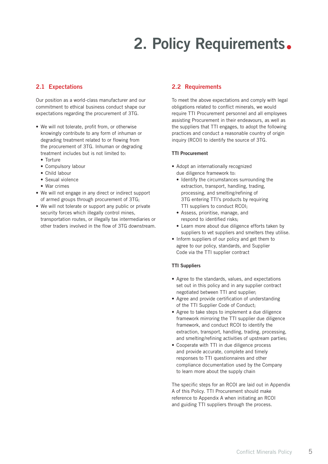# 2. Policy Requirements.

Our position as a world-class manufacturer and our commitment to ethical business conduct shape our expectations regarding the procurement of 3TG.

- We will not tolerate, profit from, or otherwise knowingly contribute to any form of inhuman or degrading treatment related to or flowing from the procurement of 3TG. Inhuman or degrading treatment includes but is not limited to:
	- Torture
	- Compulsory labour
	- Child labour
	- Sexual violence
	- War crimes
- We will not engage in any direct or indirect support of armed groups through procurement of 3TG;
- We will not tolerate or support any public or private security forces which illegally control mines, transportation routes, or illegally tax intermediaries or other traders involved in the flow of 3TG downstream.

### 2.1 Expectations 2.2 Requirements

To meet the above expectations and comply with legal obligations related to conflict minerals, we would require TTI Procurement personnel and all employees assisting Procurement in their endeavours, as well as the suppliers that TTI engages, to adopt the following practices and conduct a reasonable country of origin inquiry (RCOI) to identify the source of 3TG.

#### TTI Procurement

- Adopt an internationally recognized due diligence framework to:
	- Identify the circumstances surrounding the extraction, transport, handling, trading, processing, and smelting/refining of 3TG entering TTI's products by requiring TTI suppliers to conduct RCOI;
	- Assess, prioritise, manage, and respond to identified risks;
	- Learn more about due diligence efforts taken by suppliers to vet suppliers and smelters they utilise.
- Inform suppliers of our policy and get them to agree to our policy, standards, and Supplier Code via the TTI supplier contract

#### TTI Suppliers

- Agree to the standards, values, and expectations set out in this policy and in any supplier contract negotiated between TTI and supplier;
- Agree and provide certification of understanding of the TTI Supplier Code of Conduct;
- Agree to take steps to implement a due diligence framework mirroring the TTI supplier due diligence framework, and conduct RCOI to identify the extraction, transport, handling, trading, processing, and smelting/refining activities of upstream parties;
- Cooperate with TTI in due diligence process and provide accurate, complete and timely responses to TTI questionnaires and other compliance documentation used by the Company to learn more about the supply chain

The specific steps for an RCOI are laid out in Appendix A of this Policy. TTI Procurement should make reference to Appendix A when initiating an RCOI and guiding TTI suppliers through the process.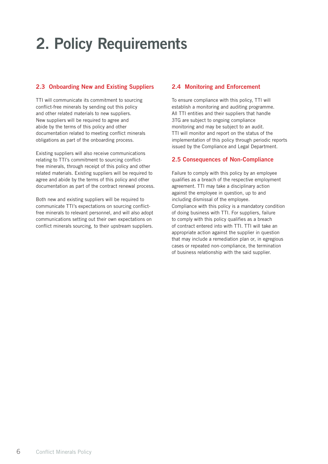# 2. Policy Requirements

## 2.3 Onboarding New and Existing Suppliers 2.4 Monitoring and Enforcement

TTI will communicate its commitment to sourcing conflict-free minerals by sending out this policy and other related materials to new suppliers. New suppliers will be required to agree and abide by the terms of this policy and other documentation related to meeting conflict minerals obligations as part of the onboarding process.

Existing suppliers will also receive communications relating to TTI's commitment to sourcing conflictfree minerals, through receipt of this policy and other related materials. Existing suppliers will be required to agree and abide by the terms of this policy and other documentation as part of the contract renewal process.

Both new and existing suppliers will be required to communicate TTI's expectations on sourcing conflictfree minerals to relevant personnel, and will also adopt communications setting out their own expectations on conflict minerals sourcing, to their upstream suppliers.

To ensure compliance with this policy, TTI will establish a monitoring and auditing programme. All TTI entities and their suppliers that handle 3TG are subject to ongoing compliance monitoring and may be subject to an audit. TTI will monitor and report on the status of the implementation of this policy through periodic reports issued by the Compliance and Legal Department.

### 2.5 Consequences of Non-Compliance

Failure to comply with this policy by an employee qualifies as a breach of the respective employment agreement. TTI may take a disciplinary action against the employee in question, up to and including dismissal of the employee. Compliance with this policy is a mandatory condition of doing business with TTI. For suppliers, failure to comply with this policy qualifies as a breach of contract entered into with TTI. TTI will take an appropriate action against the supplier in question that may include a remediation plan or, in egregious cases or repeated non-compliance, the termination of business relationship with the said supplier.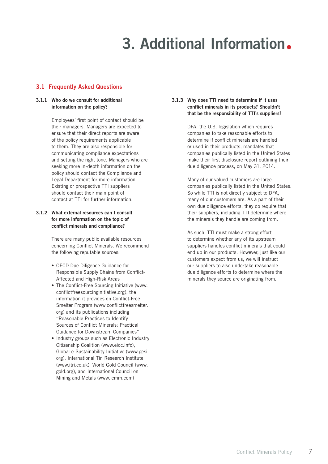# 3. Additional Information.

### 3.1 Frequently Asked Questions

#### 3.1.1 Who do we consult for additional information on the policy?

Employees' first point of contact should be their managers. Managers are expected to ensure that their direct reports are aware of the policy requirements applicable to them. They are also responsible for communicating compliance expectations and setting the right tone. Managers who are seeking more in-depth information on the policy should contact the Compliance and Legal Department for more information. Existing or prospective TTI suppliers should contact their main point of contact at TTI for further information.

#### 3.1.2 What external resources can I consult for more information on the topic of conflict minerals and compliance?

There are many public available resources concerning Conflict Minerals. We recommend the following reputable sources:

- OECD Due Diligence Guidance for Responsible Supply Chains from Conflict-Affected and High-Risk Areas
- The Conflict-Free Sourcing Initiative (www. conflictfreesourcinginitiative.org), the information it provides on Conflict-Free Smelter Program (www.conflictfreesmelter. org) and its publications including "Reasonable Practices to Identify Sources of Conflict Minerals: Practical Guidance for Downstream Companies"
- Industry groups such as Electronic Industry Citizenship Coalition (www.eicc.info), Global e-Sustainability Initiative (www.gesi. org), International Tin Research Institute (www.itri.co.uk), World Gold Council (www. gold.org), and International Council on Mining and Metals (www.icmm.com)

#### 3.1.3 Why does TTI need to determine if it uses conflict minerals in its products? Shouldn't that be the responsibility of TTI's suppliers?

DFA, the U.S. legislation which requires companies to take reasonable efforts to determine if conflict minerals are handled or used in their products, mandates that companies publically listed in the United States make their first disclosure report outlining their due diligence process, on May 31, 2014.

Many of our valued customers are large companies publically listed in the United States. So while TTI is not directly subject to DFA, many of our customers are. As a part of their own due diligence efforts, they do require that their suppliers, including TTI determine where the minerals they handle are coming from.

As such, TTI must make a strong effort to determine whether any of its upstream suppliers handles conflict minerals that could end up in our products. However, just like our customers expect from us, we will instruct our suppliers to also undertake reasonable due diligence efforts to determine where the minerals they source are originating from.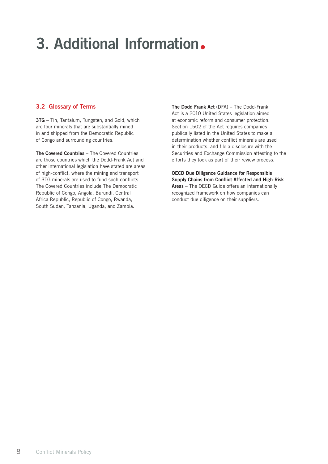# 3. Additional Information.

### 3.2 Glossary of Terms

3TG - Tin, Tantalum, Tungsten, and Gold, which are four minerals that are substantially mined in and shipped from the Democratic Republic of Congo and surrounding countries.

The Covered Countries – The Covered Countries are those countries which the Dodd-Frank Act and other international legislation have stated are areas of high-conflict, where the mining and transport of 3TG minerals are used to fund such conflicts. The Covered Countries include The Democratic Republic of Congo, Angola, Burundi, Central Africa Republic, Republic of Congo, Rwanda, South Sudan, Tanzania, Uganda, and Zambia.

The Dodd Frank Act (DFA) – The Dodd-Frank Act is a 2010 United States legislation aimed at economic reform and consumer protection. Section 1502 of the Act requires companies publically listed in the United States to make a determination whether conflict minerals are used in their products, and file a disclosure with the Securities and Exchange Commission attesting to the efforts they took as part of their review process.

OECD Due Diligence Guidance for Responsible Supply Chains from Conflict-Affected and High-Risk Areas – The OECD Guide offers an internationally recognized framework on how companies can conduct due diligence on their suppliers.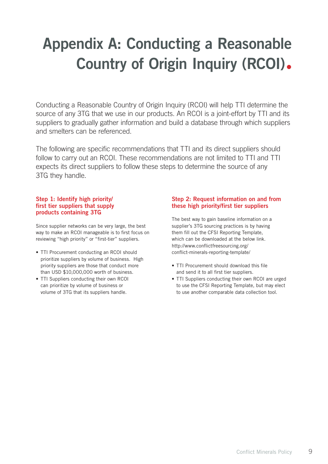# Appendix A: Conducting a Reasonable Country of Origin Inquiry (RCOI)•

Conducting a Reasonable Country of Origin Inquiry (RCOI) will help TTI determine the source of any 3TG that we use in our products. An RCOI is a joint-effort by TTI and its suppliers to gradually gather information and build a database through which suppliers and smelters can be referenced.

The following are specific recommendations that TTI and its direct suppliers should follow to carry out an RCOI. These recommendations are not limited to TTI and TTI expects its direct suppliers to follow these steps to determine the source of any 3TG they handle.

### Step 1: Identify high priority/ first tier suppliers that supply products containing 3TG

Since supplier networks can be very large, the best way to make an RCOI manageable is to first focus on reviewing "high priority" or "first-tier" suppliers.

- TTI Procurement conducting an RCOI should prioritize suppliers by volume of business. High priority suppliers are those that conduct more than USD \$10,000,000 worth of business.
- TTI Suppliers conducting their own RCOI can prioritize by volume of business or volume of 3TG that its suppliers handle.

### Step 2: Request information on and from these high priority/first tier suppliers

The best way to gain baseline information on a supplier's 3TG sourcing practices is by having them fill out the CFSI Reporting Template, which can be downloaded at the below link. http://www.conflictfreesourcing.org/ conflict-minerals-reporting-template/

- TTI Procurement should download this file and send it to all first tier suppliers.
- TTI Suppliers conducting their own RCOI are urged to use the CFSI Reporting Template, but may elect to use another comparable data collection tool.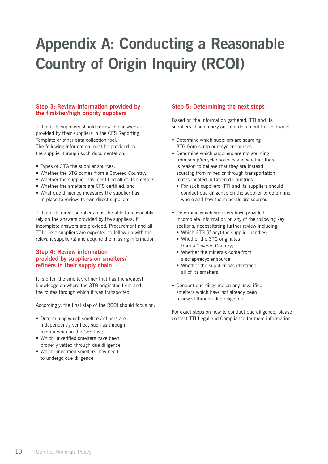# Appendix A: Conducting a Reasonable Country of Origin Inquiry (RCOI)

### Step 3: Review information provided by the first-tier/high priority suppliers

TTI and its suppliers should review the answers provided by their suppliers in the CFS Reporting Template or other data collection tool. The following information must be provided by the supplier through such documentation:

- Types of 3TG the supplier sources;
- Whether the 3TG comes from a Covered Country;
- Whether the supplier has identified all of its smelters:
- Whether the smelters are CFS certified, and
- What due diligence measures the supplier has in place to review its own direct suppliers

TTI and its direct suppliers must be able to reasonably rely on the answers provided by the suppliers. If incomplete answers are provided, Procurement and all TTI direct suppliers are expected to follow up with the relevant supplier(s) and acquire the missing information.

#### Step 4: Review information provided by suppliers on smelters/ refiners in their supply chain

It is often the smelter/refiner that has the greatest knowledge on where the 3TG originates from and the routes through which it was transported.

Accordingly, the final step of the RCOI should focus on:

- Determining which smelters/refiners are independently verified, such as through membership on the CFS List;
- Which unverified smelters have been properly vetted through due diligence;
- Which unverified smelters may need to undergo due diligence

### Step 5: Determining the next steps

Based on the information gathered, TTI and its suppliers should carry out and document the following:

- Determine which suppliers are sourcing 3TG from scrap or recycler sources
- Determine which suppliers are not sourcing from scrap/recycler sources and whether there is reason to believe that they are instead sourcing from mines or through transportation routes located in Covered Countries
	- For such suppliers, TTI and its suppliers should conduct due diligence on the supplier to determine where and how the minerals are sourced
- Determine which suppliers have provided incomplete information on any of the following key sections, necessitating further review including:
	- Which 3TG (if any) the supplier handles;
	- Whether the 3TG originates from a Covered Country;
	- Whether the minerals come from a scrap/recycler source;
	- Whether the supplier has identified all of its smelters;
- Conduct due diligence on any unverified smelters which have not already been reviewed through due diligence

For exact steps on how to conduct due diligence, please contact TTI Legal and Compliance for more information.